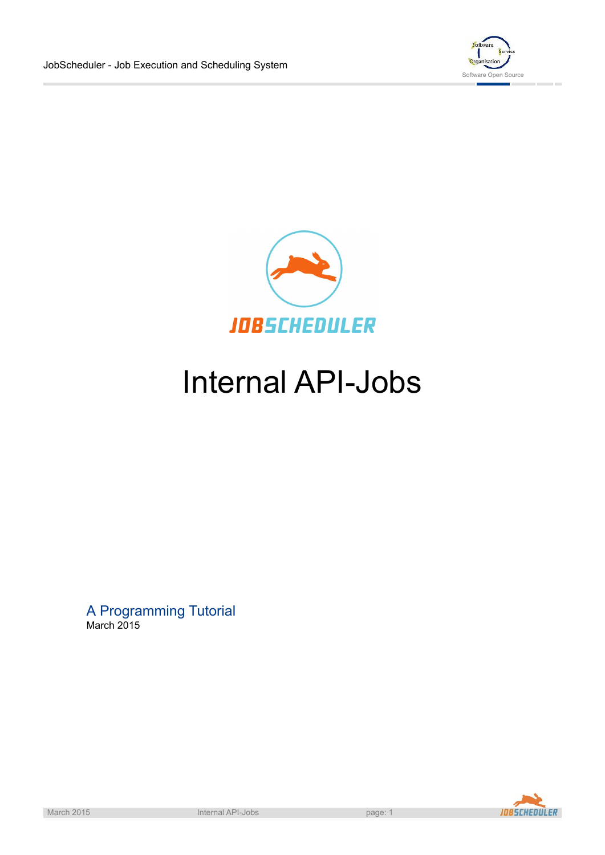



# Internal API-Jobs

A Programming Tutorial March 2015

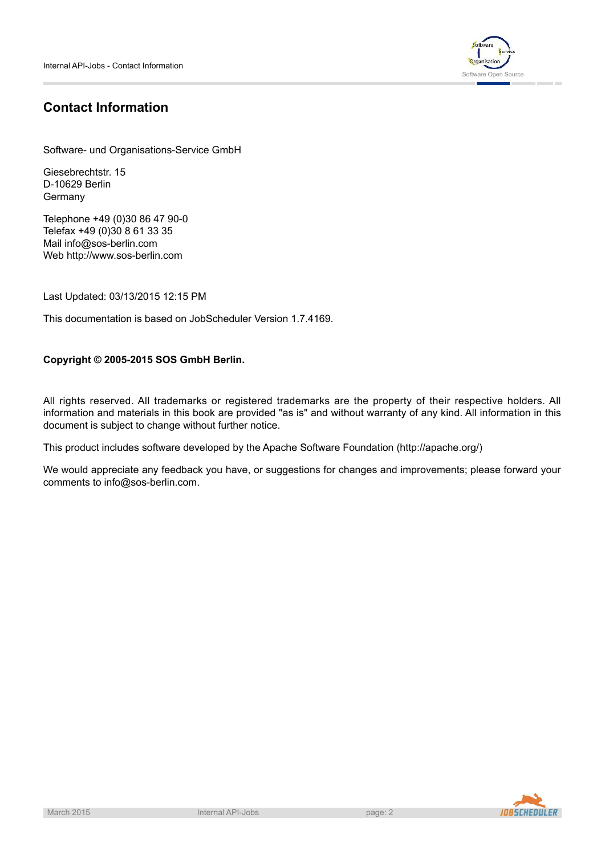

# **Contact Information**

Software- und Organisations-Service GmbH

Giesebrechtstr. 15 D-10629 Berlin Germany

Telephone +49 (0)30 86 47 90-0 Telefax +49 (0)30 8 61 33 35 Mail info@sos-berlin.com Web<http://www.sos-berlin.com>

Last Updated: 03/13/2015 12:15 PM

This documentation is based on JobScheduler Version 1.7.4169.

## **Copyright © 2005-2015 SOS GmbH Berlin.**

All rights reserved. All trademarks or registered trademarks are the property of their respective holders. All information and materials in this book are provided "as is" and without warranty of any kind. All information in this document is subject to change without further notice.

This product includes software developed by the Apache Software Foundation (http://apache.org/)

We would appreciate any feedback you have, or suggestions for changes and improvements; please forward your comments to info@sos-berlin.com.

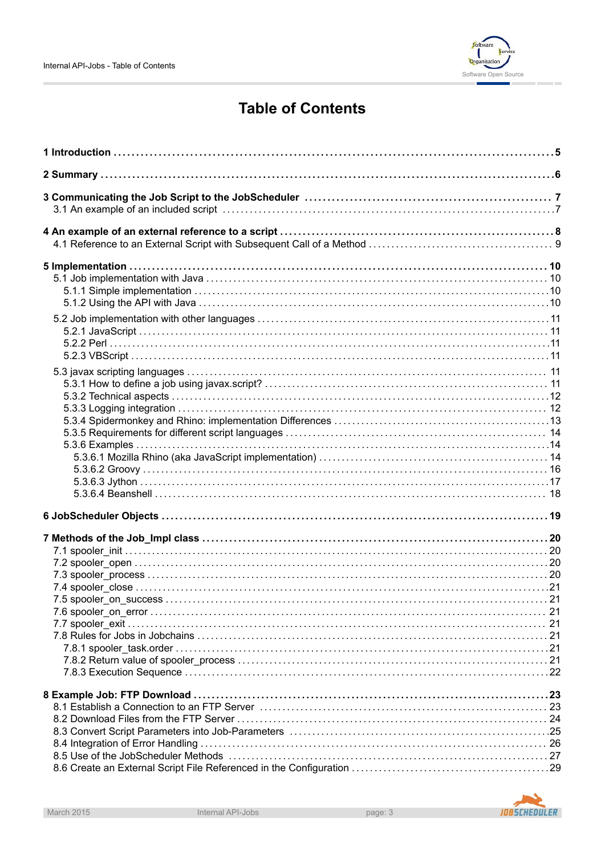

# **Table of Contents**

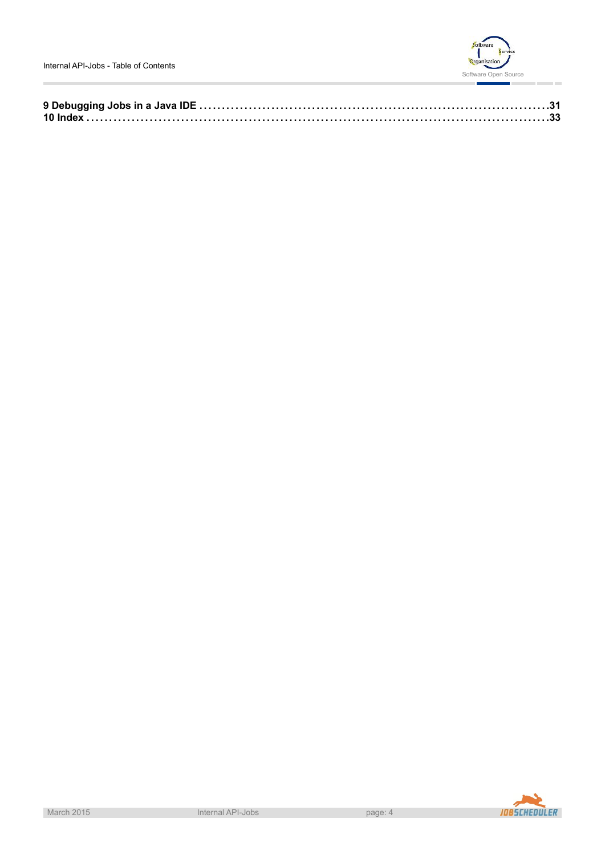

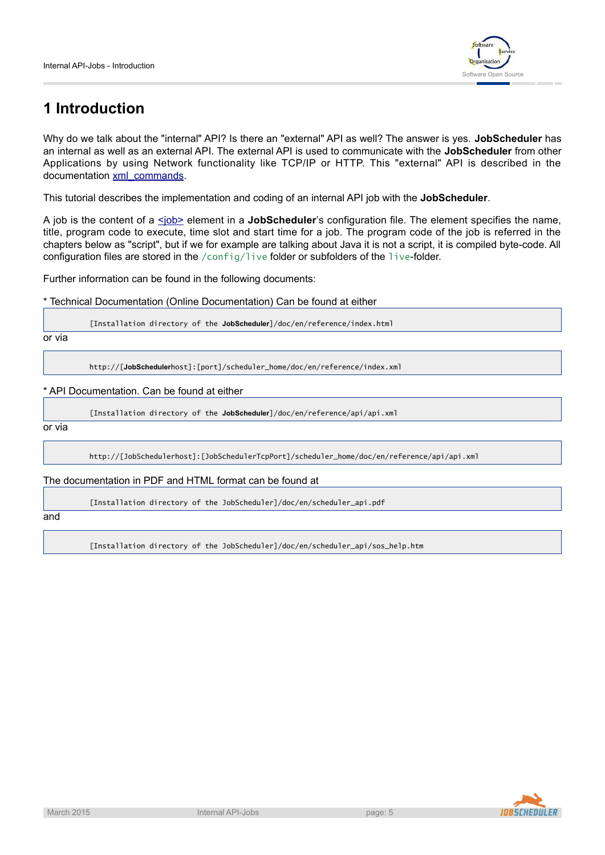

# **1 Introduction**

Why do we talk about the "internal" API? Is there an "external" API as well? The answer is yes. **JobScheduler** has an internal as well as an external API. The external API is used to communicate with the **JobScheduler** from other Applications by using Network functionality like TCP/IP or HTTP. This "external" API is described in the documentation [xml\\_commands.](http://www.sos-berlin.com/doc/en/scheduler.doc/xml_commands.xml)

This tutorial describes the implementation and coding of an internal API job with the **JobScheduler**.

A job is the content of a  $\leq$ job> element in a **JobScheduler**'s configuration file. The element specifies the name, title, program code to execute, time slot and start time for a job. The program code of the job is referred in the chapters below as "script", but if we for example are talking about Java it is not a script, it is compiled byte-code. All configuration files are stored in the /config/live folder or subfolders of the live-folder.

Further information can be found in the following documents:

\* Technical Documentation (Online Documentation) Can be found at either

[Installation directory of the **JobScheduler**]/doc/en/reference/index.html

or via

http://[**JobScheduler**host]:[port]/scheduler\_home/doc/en/reference/index.xml

\* API Documentation. Can be found at either

[Installation directory of the **JobScheduler**]/doc/en/reference/api/api.xml

or via

http://[JobSchedulerhost]:[JobSchedulerTcpPort]/scheduler\_home/doc/en/reference/api/api.xml

The documentation in PDF and HTML format can be found at

[Installation directory of the JobScheduler]/doc/en/scheduler\_api.pdf

and

[Installation directory of the JobScheduler]/doc/en/scheduler\_api/sos\_help.htm

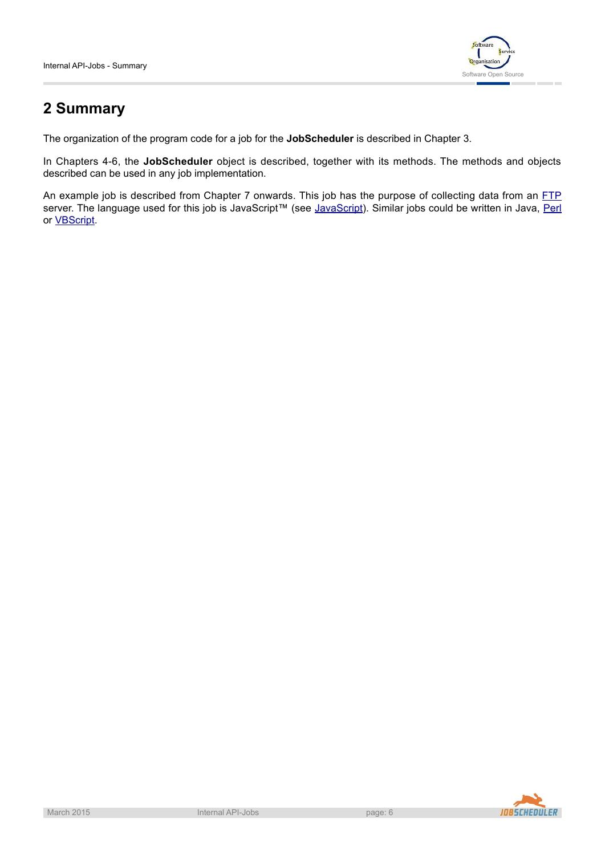

# **2 Summary**

The organization of the program code for a job for the **JobScheduler** is described in Chapter 3.

In Chapters 4-6, the **JobScheduler** object is described, together with its methods. The methods and objects described can be used in any job implementation.

An example job is described from Chapter 7 onwards. This job has the purpose of collecting data from an [FTP](http://en.wikipedia.org/wiki/FTP) server. The language used for this job is [JavaScript](http://en.wikipedia.org/wiki/JavaScript)™ (see JavaScript). Similar jobs could be written in Java, [Perl](http://en.wikipedia.org/wiki/Perl) or [VBScript](http://en.wikipedia.org/wiki/VBScript).



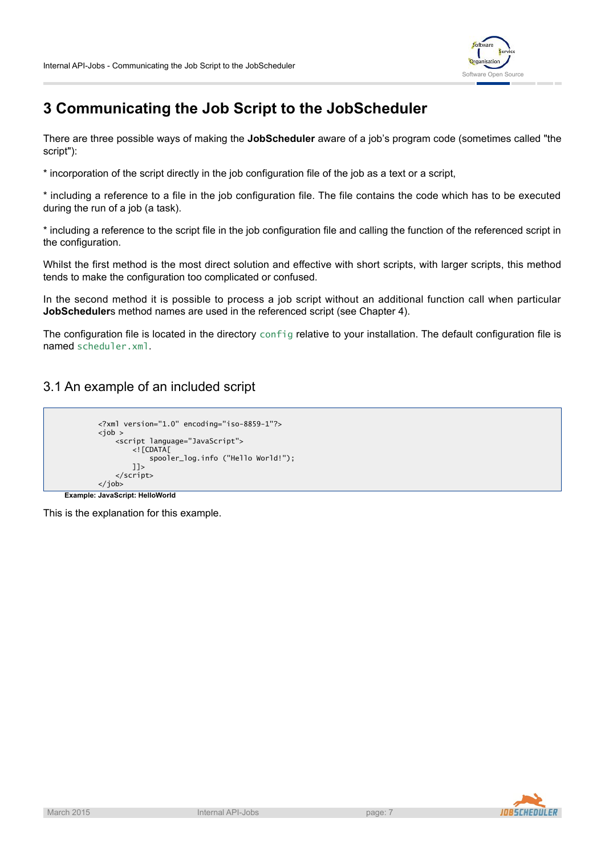

# **3 Communicating the Job Script to the JobScheduler**

There are three possible ways of making the **JobScheduler** aware of a job's program code (sometimes called "the script"):

\* incorporation of the script directly in the job configuration file of the job as a text or a script,

\* including a reference to a file in the job configuration file. The file contains the code which has to be executed during the run of a job (a task).

\* including a reference to the script file in the job configuration file and calling the function of the referenced script in the configuration.

Whilst the first method is the most direct solution and effective with short scripts, with larger scripts, this method tends to make the configuration too complicated or confused.

In the second method it is possible to process a job script without an additional function call when particular **JobScheduler**s method names are used in the referenced script (see Chapter 4).

The configuration file is located in the directory config relative to your installation. The default configuration file is named scheduler.xml.

3.1 An example of an included script

```
<?xml version="1.0" encoding="iso-8859-1"?>
<job >
           <script language="JavaScript">
                      \left| \right| \left| \right| \left| \right| \left| \right| \left| \right| \left| \right| \left| \right| \left| \right| \left| \right| \left| \right| \left| \right| \left| \right| \left| \right| \left| \right| \left| \right| \left| \right| \left| \right| \left| \right| \left| \spooler_log.info ("Hello World!");
                      ]]>
           </script>
</job>
```
**Example: JavaScript: HelloWorld**

This is the explanation for this example.

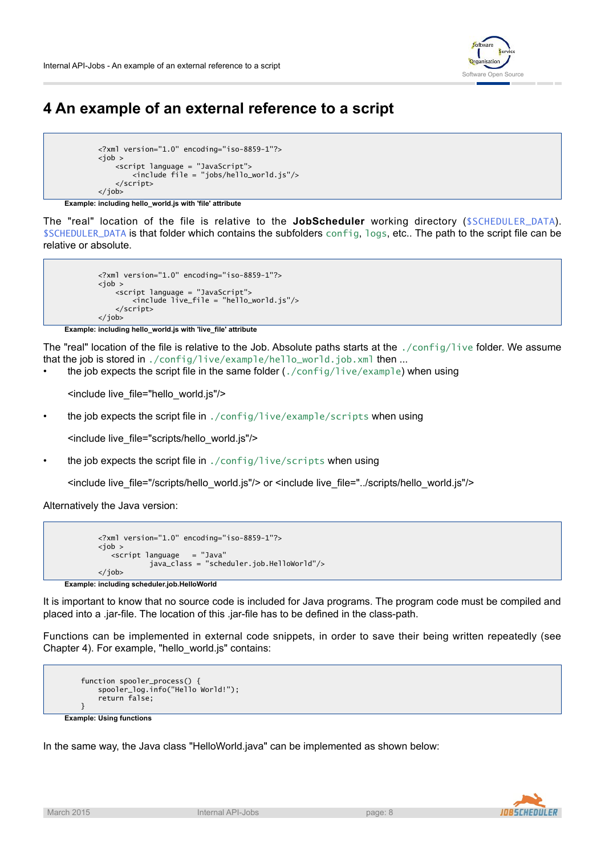

# **4 An example of an external reference to a script**

```
<?xml version="1.0" encoding="iso-8859-1"?>

    <script language = "JavaScript">
        <include file = "jobs/hello_world.js"/>
   </script>
</job>
```
**Example: including hello\_world.js with 'file' attribute**

The "real" location of the file is relative to the **JobScheduler** working directory (\$SCHEDULER\_DATA). \$SCHEDULER\_DATA is that folder which contains the subfolders config, logs, etc.. The path to the script file can be relative or absolute.

```
<?xml version="1.0" encoding="iso-8859-1"?>
job <i>z</i><script language = "JavaScript">
        <include live_file = "hello_world.js"/>
    </script>
</job>
```
**Example: including hello\_world.js with 'live\_file' attribute**

The "real" location of the file is relative to the Job. Absolute paths starts at the ./config/live folder. We assume that the job is stored in ./config/live/example/hello\_world.job.xml then ...

• the job expects the script file in the same folder  $(./config/live/example)$  when using

<include live\_file="hello\_world.js"/>

• the job expects the script file in ./config/live/example/scripts when using

<include live\_file="scripts/hello\_world.js"/>

the job expects the script file in ./config/live/scripts when using

<include live\_file="/scripts/hello\_world.js"/> or <include live\_file="../scripts/hello\_world.js"/>

Alternatively the Java version:

```
<?xml version="1.0" encoding="iso-8859-1"?>

  <script language = "Java"
           java_class = "scheduler.job.HelloWorld"/>
</job>
```
**Example: including scheduler.job.HelloWorld**

It is important to know that no source code is included for Java programs. The program code must be compiled and placed into a .jar-file. The location of this .jar-file has to be defined in the class-path.

Functions can be implemented in external code snippets, in order to save their being written repeatedly (see Chapter 4). For example, "hello\_world.js" contains:

```
function spooler_process() {
       spooler_log.info("Hello World!");
        return false;
   }
Example: Using functions
```
In the same way, the Java class "HelloWorld.java" can be implemented as shown below:

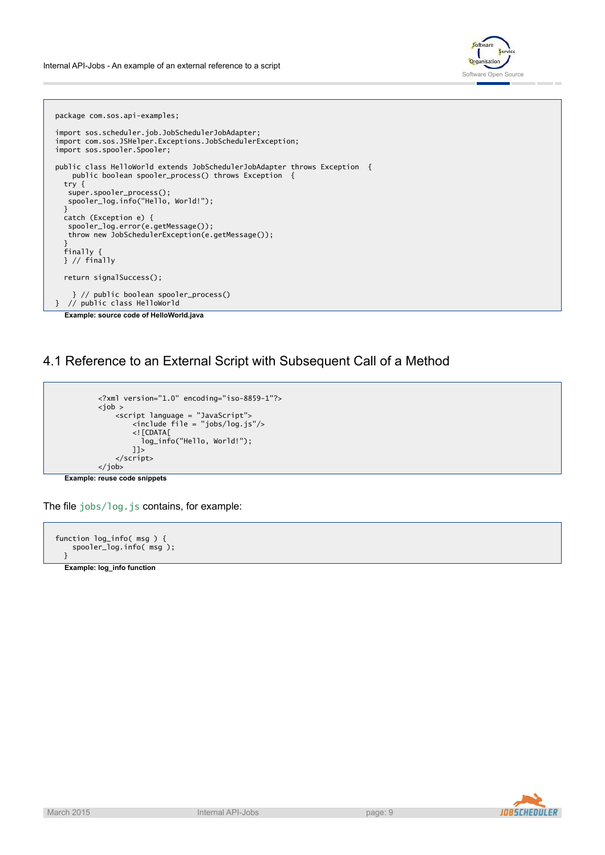

package com.sos.api-examples; import sos.scheduler.job.JobSchedulerJobAdapter; import com.sos.JSHelper.Exceptions.JobSchedulerException; import sos.spooler.Spooler; public class HelloWorld extends JobSchedulerJobAdapter throws Exception { public boolean spooler\_process() throws Exception { try { super.spooler\_process(); spooler\_log.info("Hello, World!");  $\mathbf{r}$ catch (Exception e) { spooler\_log.error(e.getMessage()); throw new JobSchedulerException(e.getMessage()); } finally { } // finally return signalSuccess(); } // public boolean spooler\_process() } // public class HelloWorld **Example: source code of HelloWorld.java**

4.1 Reference to an External Script with Subsequent Call of a Method

```
<?xml version="1.0" encoding="iso-8859-1"?>
<job >
    <script language = "JavaScript">
        <include file = "jobs/log.js"/>
        <![CDATA[
          log_info("Hello, World!");
        ]]>
    </script>
</job>
```
**Example: reuse code snippets**

The file jobs/log.js contains, for example:



**Example: log\_info function**

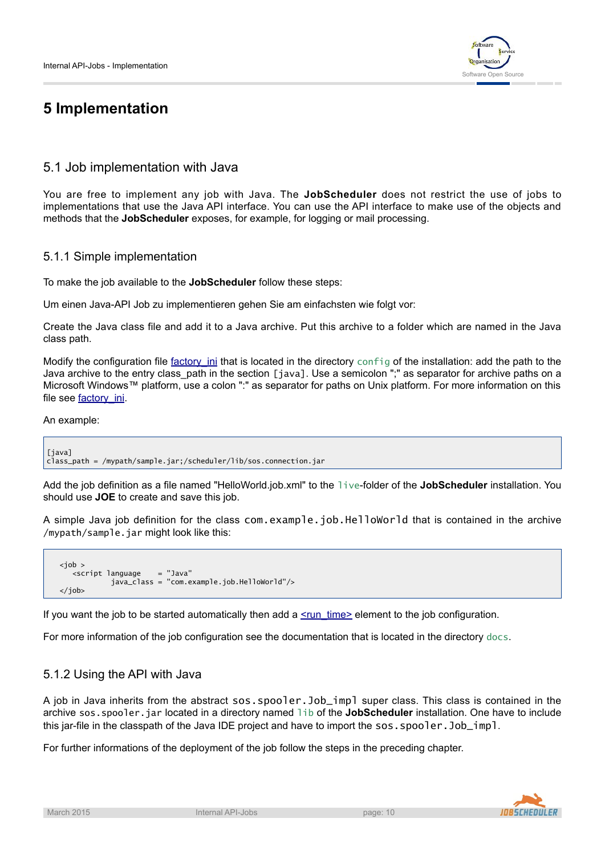

# **5 Implementation**

# 5.1 Job implementation with Java

You are free to implement any job with Java. The **JobScheduler** does not restrict the use of jobs to implementations that use the Java API interface. You can use the API interface to make use of the objects and methods that the **JobScheduler** exposes, for example, for logging or mail processing.

## 5.1.1 Simple implementation

To make the job available to the **JobScheduler** follow these steps:

Um einen Java-API Job zu implementieren gehen Sie am einfachsten wie folgt vor:

Create the Java class file and add it to a Java archive. Put this archive to a folder which are named in the Java class path.

Modify the configuration file factory ini that is located in the directory config of the installation: add the path to the Java archive to the entry class path in the section [java]. Use a semicolon ";" as separator for archive paths on a Microsoft Windows™ platform, use a colon ":" as separator for paths on Unix platform. For more information on this file see [factory\\_ini.](http://www.sos-berlin.com/doc/en/scheduler.doc/factory_ini.xml)

#### An example:

[java] class\_path = /mypath/sample.jar;/scheduler/lib/sos.connection.jar

Add the job definition as a file named "HelloWorld.job.xml" to the live-folder of the **JobScheduler** installation. You should use **JOE** to create and save this job.

A simple Java job definition for the class com.example.job.HelloWorld that is contained in the archive /mypath/sample.jar might look like this:

```
<job >
   <script language = "Java"
            java_class = "com.example.job.HelloWorld"/>
</job>
```
If you want the job to be started automatically then add a  $\leq$ run\_time element to the job configuration.

For more information of the job configuration see the documentation that is located in the directory docs.

## 5.1.2 Using the API with Java

A job in Java inherits from the abstract sos.spooler.Job\_impl super class. This class is contained in the archive sos.spooler.jar located in a directory named lib of the **JobScheduler** installation. One have to include this jar-file in the classpath of the Java IDE project and have to import the sos.spooler.Job\_impl.

For further informations of the deployment of the job follow the steps in the preceding chapter.

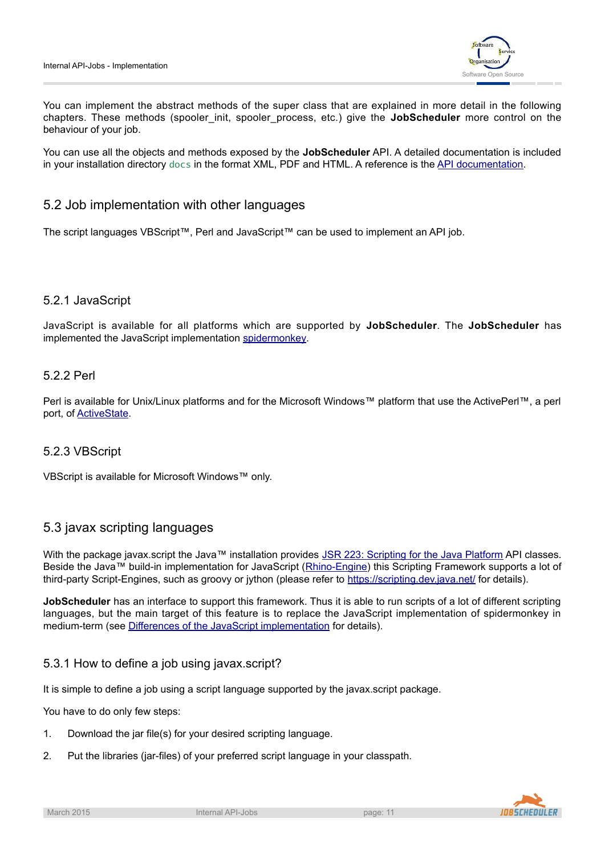

You can implement the abstract methods of the super class that are explained in more detail in the following chapters. These methods (spooler\_init, spooler\_process, etc.) give the **JobScheduler** more control on the behaviour of your job.

You can use all the objects and methods exposed by the **JobScheduler** API. A detailed documentation is included in your installation directory docs in the format XML, PDF and HTML. A reference is the [API documentation.](http://www.sos-berlin.com/doc/en/scheduler.doc/api/api.xml)

## 5.2 Job implementation with other languages

The script languages VBScript™, Perl and JavaScript™ can be used to implement an API job.

## 5.2.1 JavaScript

JavaScript is available for all platforms which are supported by **JobScheduler**. The **JobScheduler** has implemented the JavaScript implementation [spidermonkey.](https://developer.mozilla.org/en/SpiderMonkey)

## 5.2.2 Perl

Perl is available for Unix/Linux platforms and for the Microsoft Windows™ platform that use the ActivePerl™, a perl port, of [ActiveState](http://www.activestate.com).

## 5.2.3 VBScript

VBScript is available for Microsoft Windows™ only.

## 5.3 javax scripting languages

With the package javax.script the Java™ installation provides [JSR 223: Scripting for the Java Platform](http://www.jcp.org/en/jsr/detail?id=223) API classes. Beside the Java™ build-in implementation for JavaScript([Rhino-Engine](http://www.mozilla.org/rhino)) this Scripting Framework supports a lot of third-party Script-Engines, such as groovy or jython (please refer to <https://scripting.dev.java.net/> for details).

**JobScheduler** has an interface to support this framework. Thus it is able to run scripts of a lot of different scripting languages, but the main target of this feature is to replace the JavaScript implementation of spidermonkey in medium-term (see Differences of the JavaScript implementation for details).

## 5.3.1 How to define a job using javax.script?

It is simple to define a job using a script language supported by the javax.script package.

You have to do only few steps:

- 1. Download the jar file(s) for your desired scripting language.
- 2. Put the libraries (jar-files) of your preferred script language in your classpath.

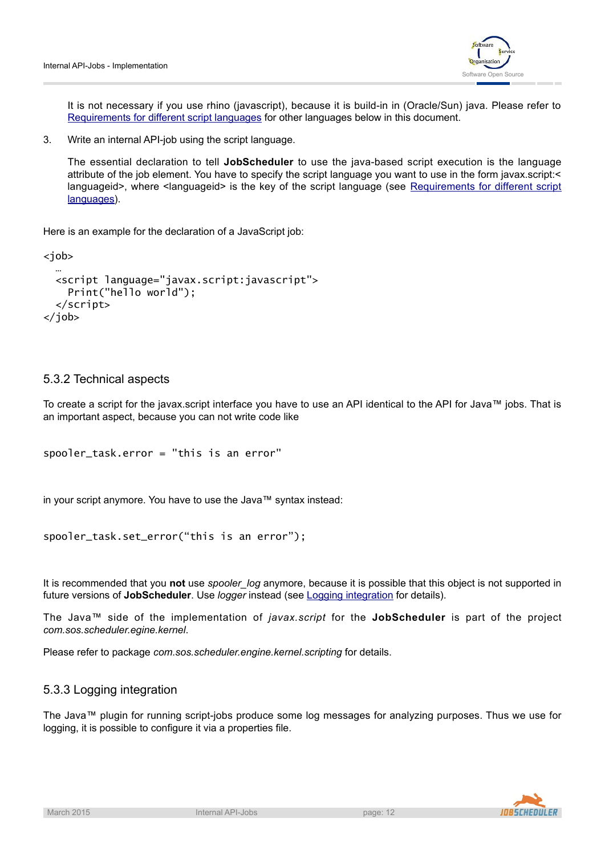

It is not necessary if you use rhino (javascript), because it is build-in in (Oracle/Sun) java. Please refer to [Requirements for different script languages](#page-13-0) for other languages below in this document.

3. Write an internal API-job using the script language.

The essential declaration to tell **JobScheduler** to use the java-based script execution is the language attribute of the job element. You have to specify the script language you want to use in the form javax.script:< [languageid>, where <languageid> is the key of the script language \(see](#page-13-0) Requirements for different script languages).

Here is an example for the declaration of a JavaScript job:

<job>

```
…
 <script language="javax.script:javascript">
   Print("hello world");
  </script>
</job>
```
#### 5.3.2 Technical aspects

To create a script for the javax.script interface you have to use an API identical to the API for Java™ jobs. That is an important aspect, because you can not write code like

```
spooler_task.error = "this is an error"
```
in your script anymore. You have to use the Java™ syntax instead:

```
spooler_task.set_error("this is an error");
```
It is recommended that you not use *spooler* log anymore, because it is possible that this object is not supported in future versions of **JobScheduler**. Use *logger* instead (see Logging integration for details).

The Java™ side of the implementation of *javax.script* for the **JobScheduler** is part of the project *com.sos.scheduler.egine.kernel*.

Please refer to package *com.sos.scheduler.engine.kernel.scripting* for details.

## 5.3.3 Logging integration

The Java™ plugin for running script-jobs produce some log messages for analyzing purposes. Thus we use for logging, it is possible to configure it via a properties file.

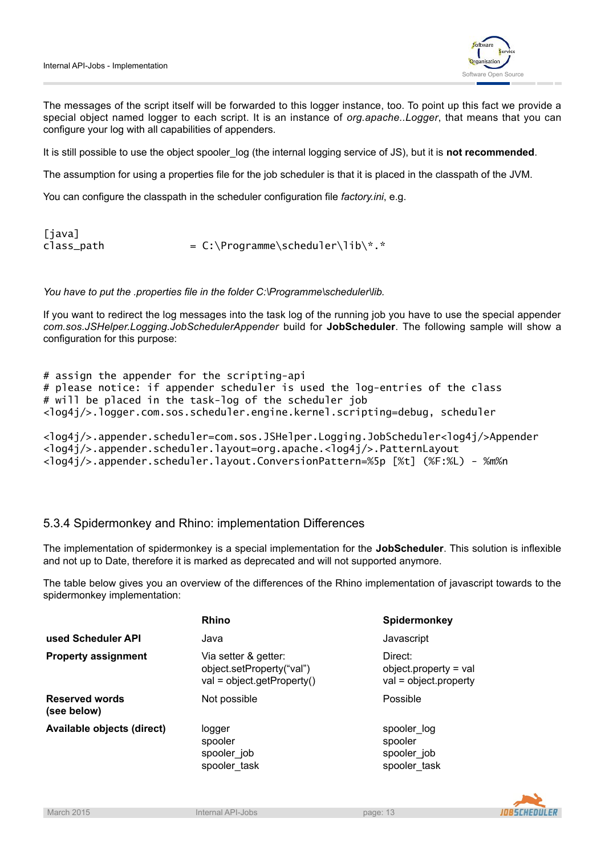

The messages of the script itself will be forwarded to this logger instance, too. To point up this fact we provide a special object named logger to each script. It is an instance of *org.apache..Logger*, that means that you can configure your log with all capabilities of appenders.

It is still possible to use the object spooler\_log (the internal logging service of JS), but it is **not recommended**.

The assumption for using a properties file for the job scheduler is that it is placed in the classpath of the JVM.

You can configure the classpath in the scheduler configuration file *factory.ini*, e.g.

```
[java]
class\_path = C:\Programme\scheduler\lib\*.*
```
*You have to put the .properties file in the folder C:\Programme\scheduler\lib.*

If you want to redirect the log messages into the task log of the running job you have to use the special appender *com.sos.JSHelper.Logging.JobSchedulerAppender* build for **JobScheduler**. The following sample will show a configuration for this purpose:

# assign the appender for the scripting-api # please notice: if appender scheduler is used the log-entries of the class # will be placed in the task-log of the scheduler job <log4j/>.logger.com.sos.scheduler.engine.kernel.scripting=debug, scheduler

```
<log4j/>.appender.scheduler=com.sos.JSHelper.Logging.JobScheduler<log4j/>Appender
<log4j/>.appender.scheduler.layout=org.apache.<log4j/>.PatternLayout
<log4j/>.appender.scheduler.layout.ConversionPattern=%5p [%t] (%F:%L) - %m%n
```
#### 5.3.4 Spidermonkey and Rhino: implementation Differences

The implementation of spidermonkey is a special implementation for the **JobScheduler**. This solution is inflexible and not up to Date, therefore it is marked as deprecated and will not supported anymore.

The table below gives you an overview of the differences of the Rhino implementation of javascript towards to the spidermonkey implementation:

|                                      | <b>Rhino</b>                                                                      | Spidermonkey                                                      |
|--------------------------------------|-----------------------------------------------------------------------------------|-------------------------------------------------------------------|
| used Scheduler API                   | Java                                                                              | Javascript                                                        |
| <b>Property assignment</b>           | Via setter & getter:<br>object.setProperty("val")<br>$val = object.getProperty()$ | Direct:<br>$object$ . property = val<br>$val = object.properties$ |
| <b>Reserved words</b><br>(see below) | Not possible                                                                      | Possible                                                          |
| Available objects (direct)           | logger<br>spooler<br>spooler job<br>spooler task                                  | spooler log<br>spooler<br>spooler job<br>spooler task             |

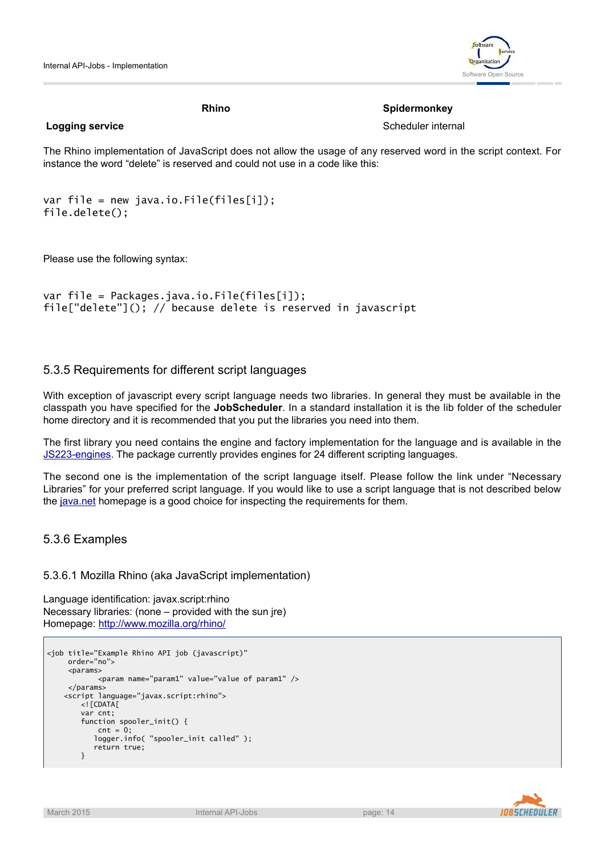

#### **Rhino** Spidermonkey

**Logging service** Scheduler internal

The Rhino implementation of JavaScript does not allow the usage of any reserved word in the script context. For instance the word "delete" is reserved and could not use in a code like this:

```
var file = new java.io.File(files[i]);
file.delete();
```
Please use the following syntax:

```
var file = Packages.java.io.File(files[i]);
file["delete"](); // because delete is reserved in javascript
```
#### 5.3.5 Requirements for different script languages

With exception of javascript every script language needs two libraries. In general they must be available in the classpath you have specified for the **JobScheduler**. In a standard installation it is the lib folder of the scheduler home directory and it is recommended that you put the libraries you need into them.

The first library you need contains the engine and factory implementation for the language and is available in the [JS223-engines](https://scripting.dev.java.net/servlets/ProjectDocumentList). The package currently provides engines for 24 different scripting languages.

The second one is the implementation of the script language itself. Please follow the link under "Necessary Libraries" for your preferred script language. If you would like to use a script language that is not described below the [java.net](https://scripting.dev.java.net/) homepage is a good choice for inspecting the requirements for them.

#### 5.3.6 Examples

#### 5.3.6.1 Mozilla Rhino (aka JavaScript implementation)

Language identification: javax.script:rhino Necessary libraries: (none – provided with the sun jre) Homepage: <http://www.mozilla.org/rhino/>

```
<job title="Example Rhino API job (javascript)"
    order="no">
     <params>
            <param name="param1" value="value of param1" />
     </params>
    <script language="javax.script:rhino">
        \lt!! [CDATA [
        var cnt;
        function spooler_init() {
            cnt = 0:
           logger.info( "spooler_init called" );
           return true;
        }
```
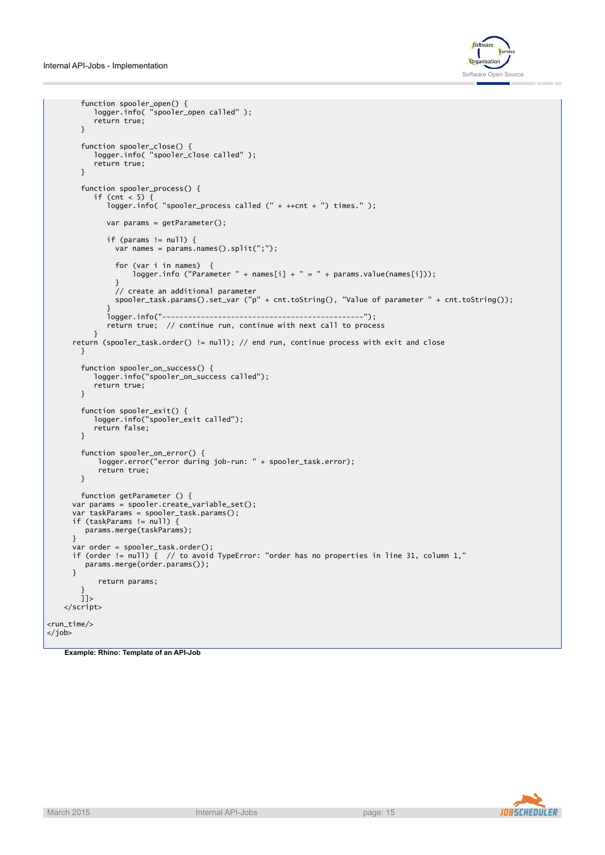

```
function spooler_open() {
           logger.info( "spooler_open called" );
           return true;
        }
        function spooler_close() {
           logger.info( "spooler_close called" );
           return true;
        }
        function spooler_process() {
           if (cnt < 5) {
              logger.info( "spooler_process called (" + ++cnt + ") times." );
              var params = getParameter();
              if (params != null) {
                var names = params.names().split(";");
                for (var i in names) {
                    logger.info ("Parameter " + names[i] + " = " + params.value(names[i]));
                }
                // create an additional parameter
                spooler_task.params().set_var ("p" + cnt.toString(), "Value of parameter " + cnt.toString());
              }
              logger.info("-----------------------------------------------");
              return true; // continue run, continue with next call to process
          }
      return (spooler_task.order() != null); // end run, continue process with exit and close
       }
        function spooler_on_success() {
           logger.info("spooler_on_success called");
           return true;
        }
        function spooler_exit() {
           logger.info("spooler_exit called");
           return false;
       }
        function spooler_on_error() {
            logger.error("error during job-run: " + spooler_task.error);
            return true;
       }
       function getParameter () {
      var params = spooler.create_variable_set();
      var taskParams = spooler_task.params();
      if (taskParams != null) {
        params.merge(taskParams);
      }
      var order = spooler_task.order();
      if (order != null) \left\{ \right. // to avoid TypeError: "order has no properties in line 31, column 1,"
        params.merge(order.params());
      }
            return params;
        }
       j]>
    </script>
<run_time/>
</job>
```


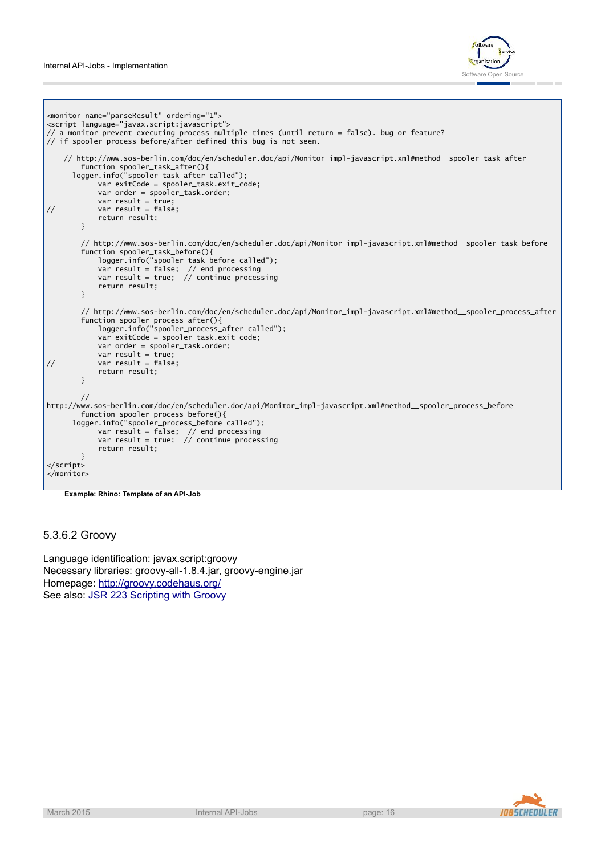

```
<monitor name="parseResult" ordering="1">
<script language="javax.script:javascript">
// a monitor prevent executing process multiple times (until return = false). bug or feature?
// if spooler_process_before/after defined this bug is not seen.
   // http://www.sos-berlin.com/doc/en/scheduler.doc/api/Monitor_impl-javascript.xml#method__spooler_task_after
       function spooler_task_after(){
      logger.info("spooler_task_after called");
           var exitCode = spooler_task.exit_code;
           var order = spooler_task.order;
            var result = true;
// var result = false;
           return result;
       }
        // http://www.sos-berlin.com/doc/en/scheduler.doc/api/Monitor_impl-javascript.xml#method__spooler_task_before
        function spooler_task_before(){
           logger.info("spooler_task_before called");
            var result = false; // end processing
            var result = true; // continue processing
           return result;
       }
        // http://www.sos-berlin.com/doc/en/scheduler.doc/api/Monitor_impl-javascript.xml#method__spooler_process_after
        function spooler_process_after(){
            logger.info("spooler_process_after called");
           var exitCode = spooler_task.exit_code;
           var order = spooler_task.order;
            var result = true;
// var result = false;
           return result;
       }
       //
http://www.sos-berlin.com/doc/en/scheduler.doc/api/Monitor_impl-javascript.xml#method__spooler_process_before
       function spooler_process_before(){
      logger.info("spooler_process_before called");
            var result = false; // end processing
            var result = true; // continue processing
           return result;
       }
</script>
</monitor>
```
**Example: Rhino: Template of an API-Job**

#### 5.3.6.2 Groovy

Language identification: javax.script:groovy Necessary libraries: groovy-all-1.8.4.jar, groovy-engine.jar Homepage: <http://groovy.codehaus.org/> See also: **[JSR 223 Scripting with Groovy](http://groovy.codehaus.org/JSR+223+Scripting+with+Groovy)** 

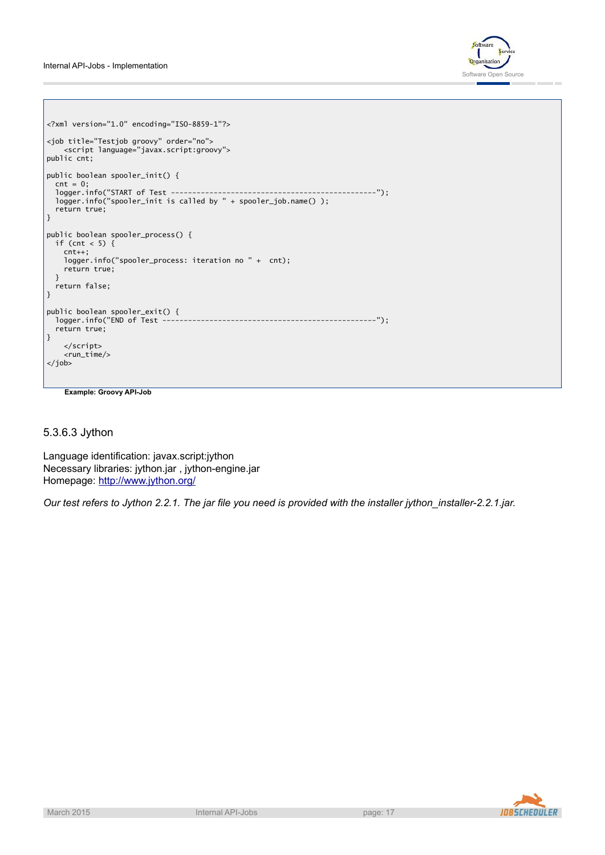Internal API-Jobs - Implementation



```
<?xml version="1.0" encoding="ISO-8859-1"?>
<job title="Testjob groovy" order="no">
    <script language="javax.script:groovy">
public cnt;
public boolean spooler_init() {
  cnt = 0;logger.info("START of Test ------------------------------------------------");
  logger.info("spooler_init is called by " + spooler_job.name() );
  return true;
}
public boolean spooler_process() {
  if (cnt < 5) {
    cnt++;
    logger.info("spooler_process: iteration no " + cnt);
    return true;
 }
  return false;
}
public boolean spooler_exit() {<br>logger.info("END of Test -----
                                 logger.info("END of Test --------------------------------------------------");
  return true;
}
    </script>
    <run_time/>
</job>
```
**Example: Groovy API-Job**

5.3.6.3 Jython

Language identification: javax.script:jython Necessary libraries: jython.jar , jython-engine.jar Homepage: <http://www.jython.org/>

*Our test refers to Jython 2.2.1. The jar file you need is provided with the installer jython\_installer-2.2.1.jar.*

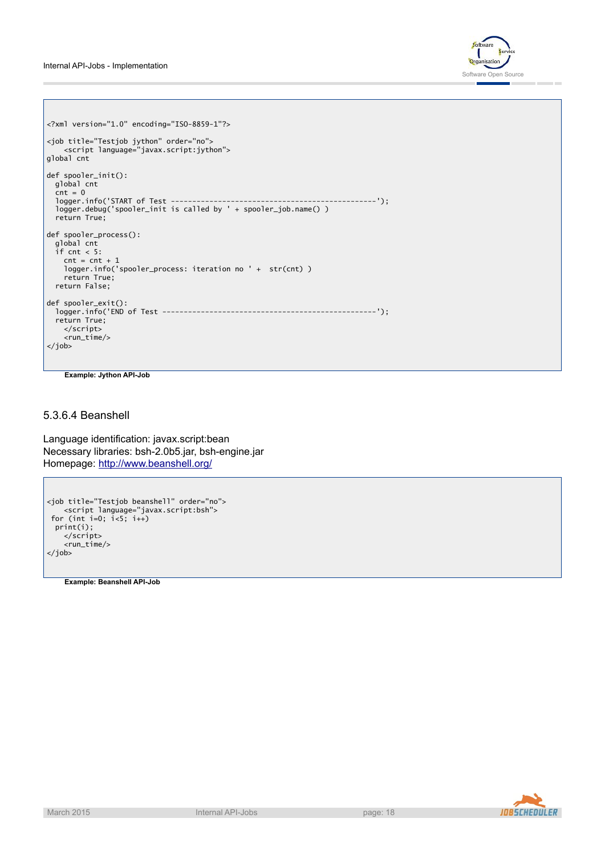

```
<?xml version="1.0" encoding="ISO-8859-1"?>
<job title="Testjob jython" order="no">
   <script language="javax.script:jython">
global cnt
def spooler_init():
  global cnt
  \text{cnt} = 0logger.info('START of Test ------------------------------------------------');
  logger.debug('spooler_init is called by ' + spooler_job.name() )
  return True;
def spooler_process():
  global cnt
  if cnt < 5:
    cnt = cnt + 1logger.info('spooler_process: iteration no ' + str(cnt) )
    return True;
  return False;
def spooler_exit():
  logger.info('END of Test --------------------------------------------------');
  return True;
   </script>
    <run_time/>
</job>
```
**Example: Jython API-Job**

#### 5.3.6.4 Beanshell

Language identification: javax.script:bean Necessary libraries: bsh-2.0b5.jar, bsh-engine.jar Homepage: <http://www.beanshell.org/>

```
<job title="Testjob beanshell" order="no">
    <script language="javax.script:bsh">
 for (int i=0; i<5; i++)
 print(i);
    </script>
    \frac{1}{\sqrt{2}}</job>
```
**Example: Beanshell API-Job**

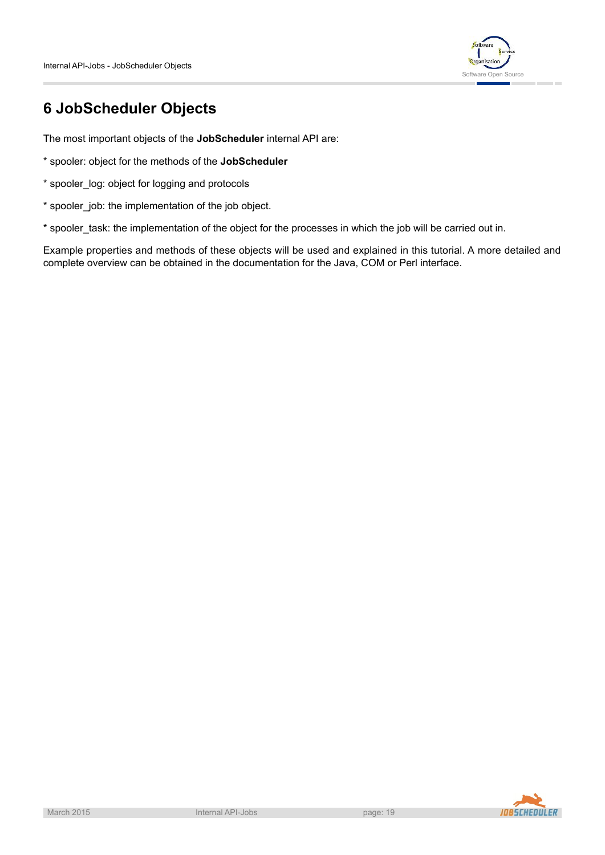

# **6 JobScheduler Objects**

The most important objects of the **JobScheduler** internal API are:

- \* spooler: object for the methods of the **JobScheduler**
- \* spooler\_log: object for logging and protocols
- \* spooler\_job: the implementation of the job object.
- \* spooler task: the implementation of the object for the processes in which the job will be carried out in.

Example properties and methods of these objects will be used and explained in this tutorial. A more detailed and complete overview can be obtained in the documentation for the Java, COM or Perl interface.

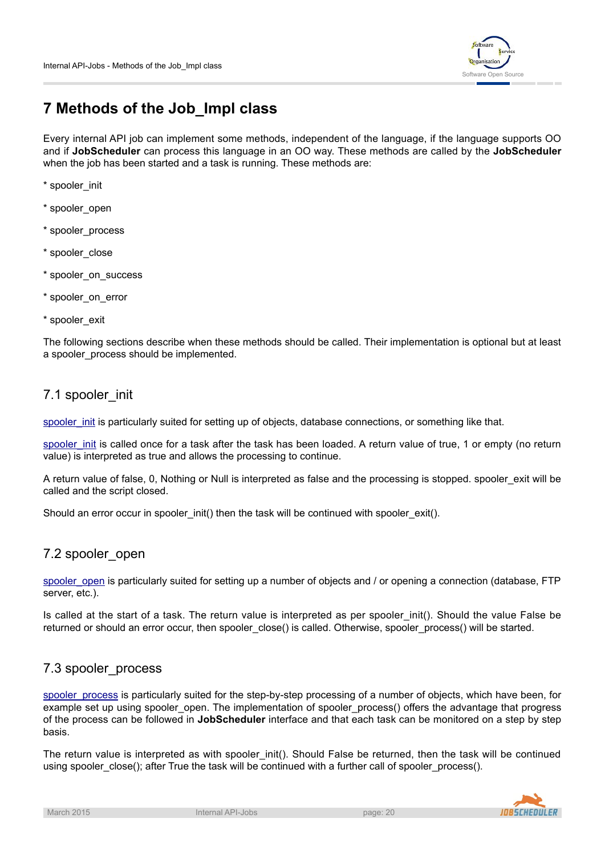

# **7 Methods of the Job\_Impl class**

Every internal API job can implement some methods, independent of the language, if the language supports OO and if **JobScheduler** can process this language in an OO way. These methods are called by the **JobScheduler** when the job has been started and a task is running. These methods are:

- \* spooler\_init
- \* spooler\_open
- \* spooler\_process
- \* spooler\_close
- \* spooler\_on\_success
- \* spooler\_on\_error
- \* spooler\_exit

The following sections describe when these methods should be called. Their implementation is optional but at least a spooler process should be implemented.

## 7.1 spooler\_init

[spooler\\_init](http://www.sos-berlin.com/doc/en/scheduler.doc/api/Job_impl-javascript.xml#method__spooler_init.xml) is particularly suited for setting up of objects, database connections, or something like that.

spooler init is called once for a task after the task has been loaded. A return value of true, 1 or empty (no return value) is interpreted as true and allows the processing to continue.

A return value of false, 0, Nothing or Null is interpreted as false and the processing is stopped. spooler exit will be called and the script closed.

Should an error occur in spooler\_init() then the task will be continued with spooler\_exit().

# 7.2 spooler\_open

[spooler\\_open](http://www.sos-berlin.com/doc/en/scheduler.doc/api/Job_impl-javascript.xml#method__spooler_open.xml) is particularly suited for setting up a number of objects and / or opening a connection (database, FTP server, etc.).

Is called at the start of a task. The return value is interpreted as per spooler\_init(). Should the value False be returned or should an error occur, then spooler\_close() is called. Otherwise, spooler\_process() will be started.

## 7.3 spooler\_process

spooler process is particularly suited for the step-by-step processing of a number of objects, which have been, for example set up using spooler open. The implementation of spooler process() offers the advantage that progress of the process can be followed in **JobScheduler** interface and that each task can be monitored on a step by step basis.

The return value is interpreted as with spooler init(). Should False be returned, then the task will be continued using spooler\_close(); after True the task will be continued with a further call of spooler\_process().

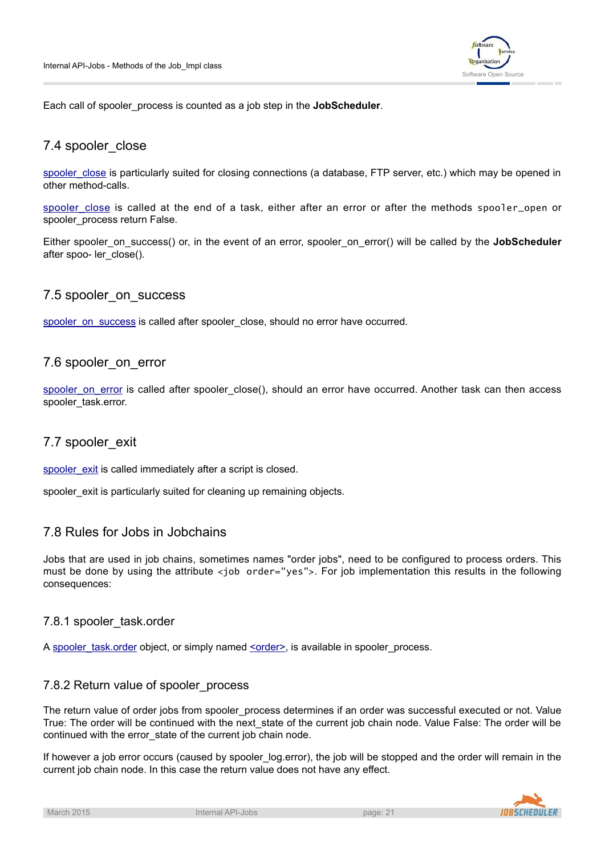

Each call of spooler\_process is counted as a job step in the **JobScheduler**.

## 7.4 spooler\_close

spooler close is particularly suited for closing connections (a database, FTP server, etc.) which may be opened in other method-calls.

spooler close is called at the end of a task, either after an error or after the methods spooler\_open or spooler\_process return False.

Either spooler\_on\_success() or, in the event of an error, spooler\_on\_error() will be called by the **JobScheduler** after spoo- ler\_close().

## 7.5 spooler\_on\_success

[spooler\\_on\\_success](http://www.sos-berlin.com/doc/en/scheduler.doc/api/Job_impl-javascript.xml#method__spooler_on_success.xml) is called after spooler\_close, should no error have occurred.

#### 7.6 spooler\_on\_error

[spooler\\_on\\_error](http://www.sos-berlin.com/doc/en/scheduler.doc/api/Job_impl-javascript.xml#method__spooler_on_error.xml) is called after spooler\_close(), should an error have occurred. Another task can then access spooler\_task.error.

## 7.7 spooler\_exit

[spooler\\_exit](http://www.sos-berlin.com/doc/en/scheduler.doc/api/Job_impl-javascript.xml#method__spooler_exit.xml) is called immediately after a script is closed.

spooler\_exit is particularly suited for cleaning up remaining objects.

## 7.8 Rules for Jobs in Jobchains

Jobs that are used in job chains, sometimes names "order jobs", need to be configured to process orders. This must be done by using the attribute <job order="yes">. For job implementation this results in the following consequences:

#### 7.8.1 spooler\_task.order

A [spooler\\_task.order](http://www.sos-berlin.com/doc/en/scheduler.doc/api/Task-java.xml#method__order.xml) object, or simply named <u><order></u>, is available in spooler\_process.

## 7.8.2 Return value of spooler process

The return value of order jobs from spooler\_process determines if an order was successful executed or not. Value True: The order will be continued with the next\_state of the current job chain node. Value False: The order will be continued with the error\_state of the current job chain node.

If however a job error occurs (caused by spooler log.error), the job will be stopped and the order will remain in the current job chain node. In this case the return value does not have any effect.

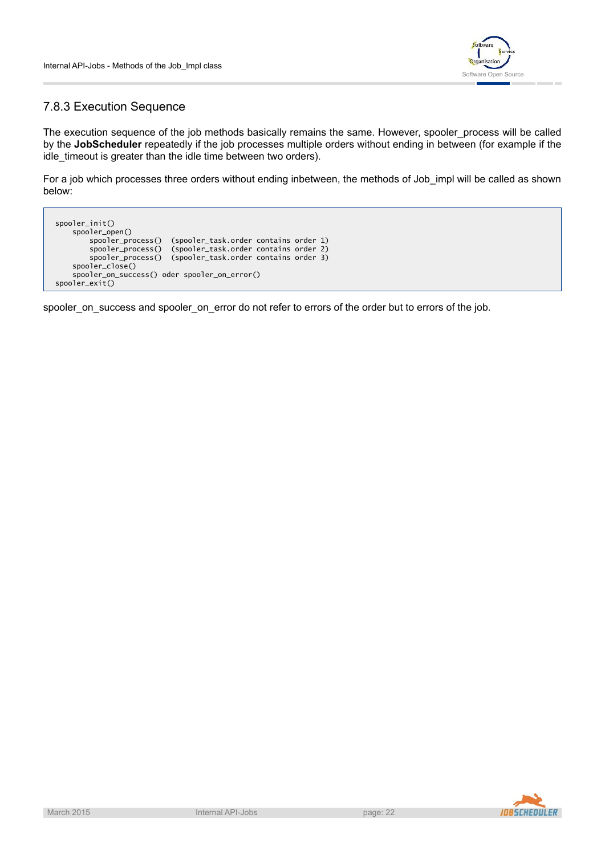

# <span id="page-21-0"></span>7.8.3 Execution Sequence

The execution sequence of the job methods basically remains the same. However, spooler process will be called by the **JobScheduler** repeatedly if the job processes multiple orders without ending in between (for example if the idle timeout is greater than the idle time between two orders).

For a job which processes three orders without ending inbetween, the methods of Job\_impl will be called as shown below:

spooler\_init() spooler\_open() spooler\_process() (spooler\_task.order contains order 1) spooler\_process() (spooler\_task.order contains order 2) spooler\_process() (spooler\_task.order contains order 3) spooler\_close() spooler\_on\_success() oder spooler\_on\_error() spooler\_exit()

spooler\_on\_success and spooler\_on\_error do not refer to errors of the order but to errors of the job.

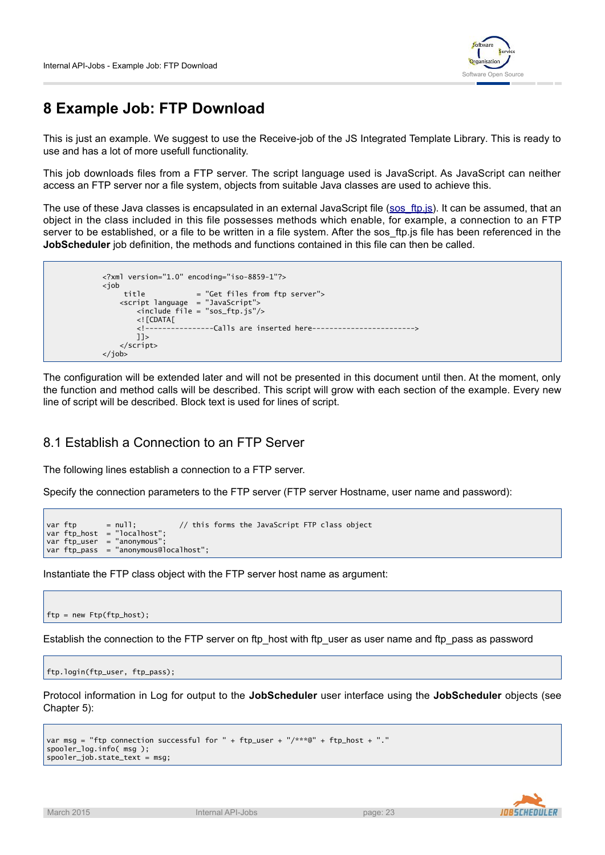

# **8 Example Job: FTP Download**

This is just an example. We suggest to use the Receive-job of the JS Integrated Template Library. This is ready to use and has a lot of more usefull functionality.

This job downloads files from a FTP server. The script language used is JavaScript. As JavaScript can neither access an FTP server nor a file system, objects from suitable Java classes are used to achieve this.

Theuse of these Java classes is encapsulated in an external JavaScript file ([sos\\_ftp.js\)](http://www.sos-berlin.com/download/scheduler/samples/jobs/sos_ftp.js). It can be assumed, that an object in the class included in this file possesses methods which enable, for example, a connection to an FTP server to be established, or a file to be written in a file system. After the sos\_ftp.js file has been referenced in the **JobScheduler** job definition, the methods and functions contained in this file can then be called.

```
<?xml version="1.0" encoding="iso-8859-1"?>
<job
    title = "Get files from ftp server">
   <script language = "JavaScript">
       <include file = "sos_ftp.js"/>
        \lt!! [CDATA\lceil<!----------------Calls are inserted here------------------------>
       11</script>
</job>
```
The configuration will be extended later and will not be presented in this document until then. At the moment, only the function and method calls will be described. This script will grow with each section of the example. Every new line of script will be described. Block text is used for lines of script.

# 8.1 Establish a Connection to an FTP Server

The following lines establish a connection to a FTP server.

Specify the connection parameters to the FTP server (FTP server Hostname, user name and password):

```
var ftp = null; \frac{1}{2} this forms the JavaScript FTP class object
var ftp_host = "localhost";
var ftp\_user = "anonymous"var ftp_pass = "anonymous@localhost";
```
Instantiate the FTP class object with the FTP server host name as argument:

ftp = new Ftp(ftp\_host);

Establish the connection to the FTP server on ftp\_host with ftp\_user as user name and ftp\_pass as password

```
ftp.login(ftp_user, ftp_pass);
```
Protocol information in Log for output to the **JobScheduler** user interface using the **JobScheduler** objects (see Chapter 5):

```
var msg = "ftp connection successful for " + ftp_user + "/***@" + ftp_host + "."
spooler_log.info( msg );
spooler_job.state_text = msg;
```
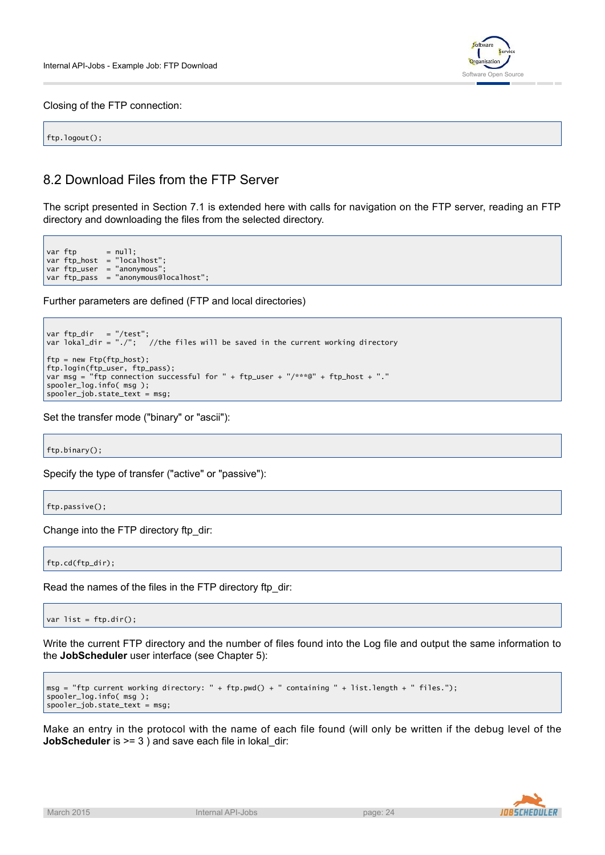

Closing of the FTP connection:

ftp.logout();

# 8.2 Download Files from the FTP Server

The script presented in Section 7.1 is extended here with calls for navigation on the FTP server, reading an FTP directory and downloading the files from the selected directory.

var ftp = null; var ftp\_host = "localhost"; var ftp\_user = "anonymous" var ftp\_pass = "anonymous@localhost";

Further parameters are defined (FTP and local directories)

var ftp\_dir = "/test"; var lokal\_dir = "./"; //the files will be saved in the current working directory ftp = new Ftp(ftp\_host); ftp.login(ftp\_user, ftp\_pass); var msg = "ftp connection successful for " + ftp\_user + "/\*\*\*@" + ftp\_host + "." spooler\_log.info( msg );  $spooler\_job.state\_text = msg;$ 

Set the transfer mode ("binary" or "ascii"):

ftp.binary();

Specify the type of transfer ("active" or "passive"):

ftp.passive();

Change into the FTP directory ftp\_dir:

ftp.cd(ftp\_dir);

Read the names of the files in the FTP directory ftp\_dir:

var list =  $ftp.dir();$ 

Write the current FTP directory and the number of files found into the Log file and output the same information to the **JobScheduler** user interface (see Chapter 5):

```
msg = "ftp current working directory: " + ftp.pwd() + " containing " + list.length + " files.");
spooler_log.info( msg );
spooler_job.state_text = msg;
```
Make an entry in the protocol with the name of each file found (will only be written if the debug level of the **JobScheduler** is  $>= 3$  ) and save each file in lokal dir:

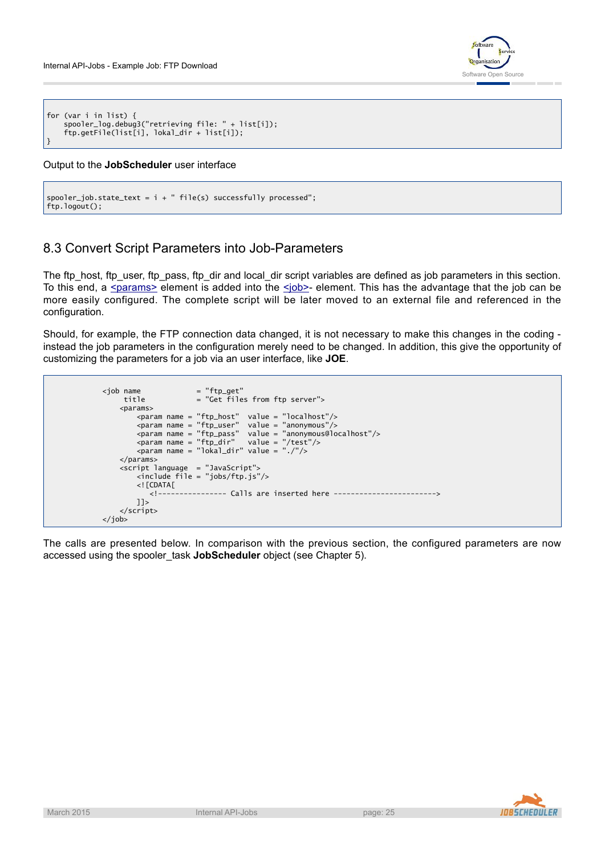

```
for (var i in list) {
    spooler_log.debug3("retrieving file: " + list[i]);
    ftp.getFile(list[i], lokal_dir + list[i]);
}
```
#### Output to the **JobScheduler** user interface

```
spooler\_job.state\_text = i + " file(s) successfully processed";ftp.logout();
```
# 8.3 Convert Script Parameters into Job-Parameters

The ftp\_host, ftp\_user, ftp\_pass, ftp\_dir and local\_dir script variables are defined as job parameters in this section. To this end, a [<params>](http://www.sos-berlin.com/doc/en/scheduler.doc/xml/params.xml) element is added into the <iob>- element. This has the advantage that the job can be more easily configured. The complete script will be later moved to an external file and referenced in the configuration.

Should, for example, the FTP connection data changed, it is not necessary to make this changes in the coding instead the job parameters in the configuration merely need to be changed. In addition, this give the opportunity of customizing the parameters for a job via an user interface, like **JOE**.

```
<job name = "ftp_get"<br>title = "Get file
                      = "Get files from ftp server">
    <params><param name = "ftp_host" value = "localhost"/>
        <param name = "ftp_user" value = "anonymous"/>
        <param name = "ftp_pass" value = "anonymous@localhost"/>
        <param name = "ftp_dir" value = "/test"/>
        <param name = "lokal_dir" value = "./"/>
    </params>
    <script language = "JavaScript">
        <include file = "jobs/ftp.js"/>
        \lt! [CDATA\lceil<!---------------- Calls are inserted here ------------------------>
        ]]>
    </script>
\langle/job>
```
The calls are presented below. In comparison with the previous section, the configured parameters are now accessed using the spooler\_task **JobScheduler** object (see Chapter 5).

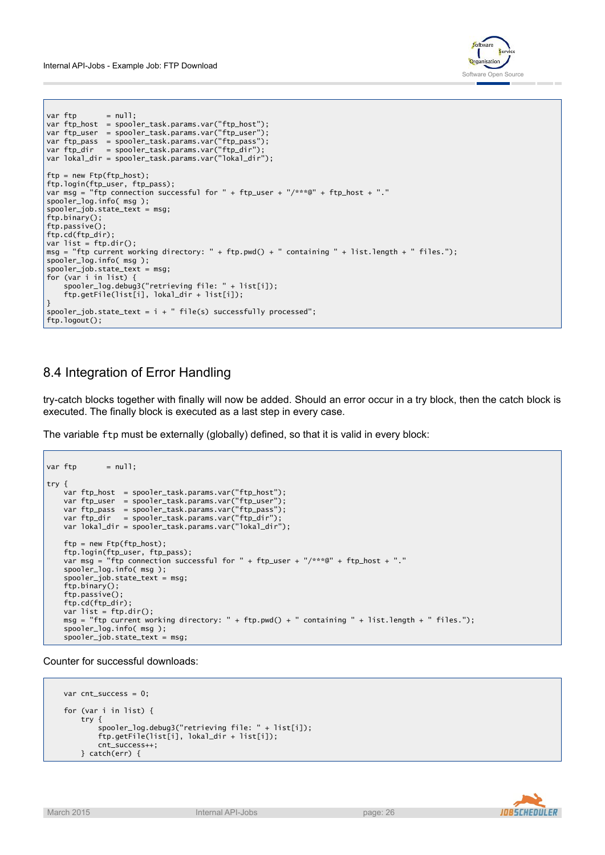

```
var ftp        = null;
var ftp_host = spooler_task.params.var("ftp_host");
var ftp_user = spooler_task.params.var("ftp_user");
var ftp_pass = spooler_task.params.var("ftp_pass");
var ftp_dir = spooler_task.params.var("ftp_dir");
var lokal_dir = spooler_task.params.var("lokal_dir");
ftp = new Ftp(ftp_host);
ftp.login(ftp_user, ftp_pass);
var msg = "ftp connection successful for " + ftp_user + "/***@" + ftp_host + "."
spooler_log.info( msg );
spooler_job.state_text = msg;
ftp.binary();
ftp.passive()
ftp.cd(ftp_dir);
var list = ftp.dir();
msg = "ftp current working directory: " + ftp.pwd() + " containing " + list.length + " files.");
spooler_log.info( msg );
spooler_job.state_text = msg;
for (var i in list) {
   spooler_log.debug3("retrieving file: " + list[i]);
   ftp.getFile(list[i], lokal_dir + list[i]);
}
spooler\_job.state\_text = i + "file(s) successfully proceeds';ftp.logout();
```
# 8.4 Integration of Error Handling

try-catch blocks together with finally will now be added. Should an error occur in a try block, then the catch block is executed. The finally block is executed as a last step in every case.

The variable ftp must be externally (globally) defined, so that it is valid in every block:

```
var ftp = null;try {
   var ftp_host = spooler_task.params.var("ftp_host");
   var ftp_user = spooler_task.params.var("ftp_user");
   var ftp_pass = spooler_task.params.var("ftp_pass");
   var ftp_dir = spooler_task.params.var("ftp_dir")
   var lokal_dir = spooler_task.params.var("lokal_dir");
   ftp = new Ftp(ftp_host);
   ftp.login(ftp_user, ftp_pass);
   var msg = "ftp connection successful for " + ftp_user + "/***@" + ftp_host + "."
   spooler_log.info( msg );
    spooler_job.state_text = msg;
   ftp.binary();
   ftp.passive();
   ftp.cd(ftp_dir);
   var list = ftp.dir();
   msg = "ftp current working directory: " + ftp.pwd() + " containing " + list.length + " files.");
   spooler_log.info( msg );
   spooler_job.state_text = msg;
```
Counter for successful downloads:

```
var cnt_success = 0;
for (var i in list) {
    try {
        spooler_log.debug3("retrieving file: " + list[i]);
        ftp.getFile(list[i], lokal_dir + list[i]);
        cnt_success++;
   } catch(err) {
```
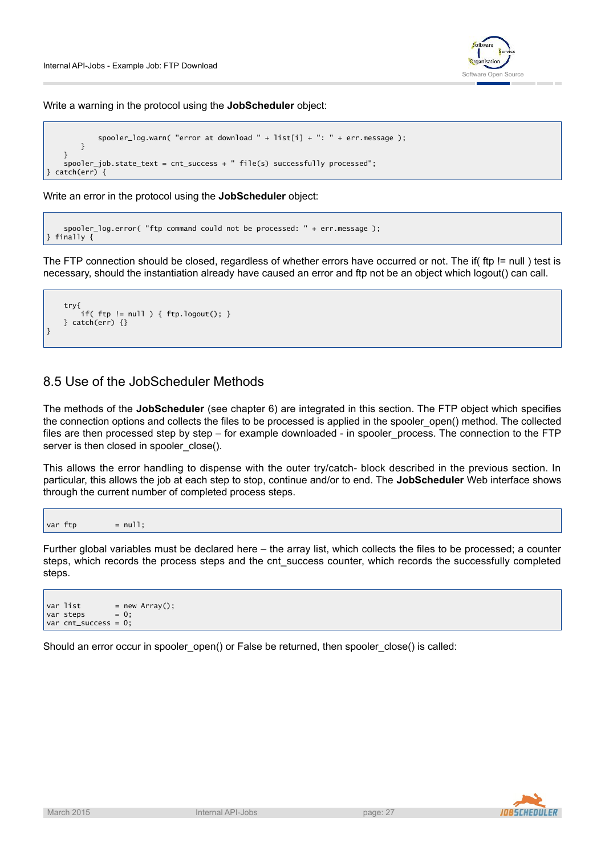

Write a warning in the protocol using the **JobScheduler** object:

```
spooler_log.warn( "error at download " + list[i] + ": " + err.message );
       }
  }
  spooler_job.state_text = cnt_success + " file(s) successfully processed";
\mathsf{catch}(\mathsf{err}) {
```
Write an error in the protocol using the **JobScheduler** object:

```
spooler_log.error( "ftp command could not be processed: " + err.message );
} finally {
```
The FTP connection should be closed, regardless of whether errors have occurred or not. The if( ftp != null ) test is necessary, should the instantiation already have caused an error and ftp not be an object which logout() can call.

```
try{
        if( ftp != null ) { ftp.logout(); }
    } catch(err) \{\}}
```
## 8.5 Use of the JobScheduler Methods

The methods of the **JobScheduler** (see chapter 6) are integrated in this section. The FTP object which specifies the connection options and collects the files to be processed is applied in the spooler\_open() method. The collected files are then processed step by step – for example downloaded - in spooler\_process. The connection to the FTP server is then closed in spooler\_close().

This allows the error handling to dispense with the outer try/catch- block described in the previous section. In particular, this allows the job at each step to stop, continue and/or to end. The **JobScheduler** Web interface shows through the current number of completed process steps.

```
var ftp = null:
```
Further global variables must be declared here – the array list, which collects the files to be processed; a counter steps, which records the process steps and the cnt success counter, which records the successfully completed steps.

```
var list = new Array();
var steps = 0;
var cnt_success = 0;
```
Should an error occur in spooler\_open() or False be returned, then spooler\_close() is called:

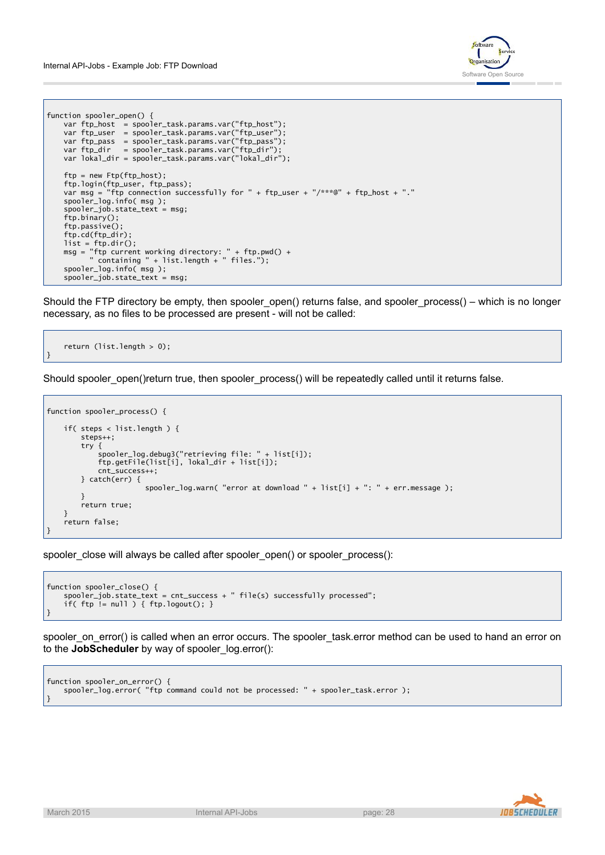

```
function spooler_open() {
   var ftp_host = spooler_task.params.var("ftp_host");
    var ftp_user = spooler_task.params.var("ftp_user");
    var ftp_pass = spooler_task.params.var("ftp_pass");
    var ftp_dir = spooler_task.params.var("ftp_dir");
    var lokal_dir = spooler_task.params.var("lokal_dir");
   ftp = new Ftp(ftp_host);
    ftp.login(ftp_user, ftp_pass);
    var msg = "ftp connection successfully for " + ftp_user + "/***@" + ftp_host + "."
   spooler_log.info( msg );
   spooler job.state text = msg;
   ftp.binary();
   ftp.passive();
   ftp.cd(ftp_dir);
   list = ftp.dir();msg = "ftp current working directory: " + ftp.pwd() +
          " containing " + list.length + " files.");
   spooler_log.info( msg );
   spooler_job.state_text = msg;
```
Should the FTP directory be empty, then spooler\_open() returns false, and spooler\_process() – which is no longer necessary, as no files to be processed are present - will not be called:

```
return (list.length > 0);
```
}

Should spooler\_open()return true, then spooler\_process() will be repeatedly called until it returns false.

```
function spooler_process() {
   if( steps < list.length ) {
        steps++;
        try {
            spooler_log.debug3("retrieving file: " + list[i]);
            ftp.getFile(list[i], lokal_dir + list[i]);
           cnt_success++;
       } catch(err) {
                       spooler_log.warn( "error at download " + list[i] + ": " + err.message );
        }
        return true;
   }
    return false;
}
```
spooler\_close will always be called after spooler\_open() or spooler\_process():

```
function spooler close() {
   spooler_job.state_text = cnt_success + " file(s) successfully processed";
   if( ftp != null ) { ftp.logout(); }
}
```
spooler\_on\_error() is called when an error occurs. The spooler\_task.error method can be used to hand an error on to the **JobScheduler** by way of spooler\_log.error():

```
function spooler_on_error() {
   spooler_log.error( "ftp command could not be processed: " + spooler_task.error );
}
```
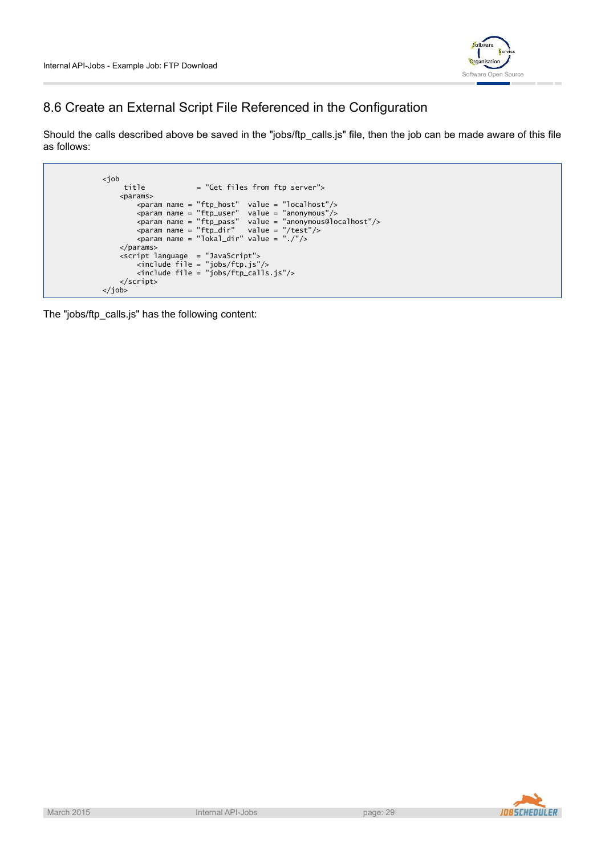

# 8.6 Create an External Script File Referenced in the Configuration

Should the calls described above be saved in the "jobs/ftp\_calls.js" file, then the job can be made aware of this file as follows:

```
<job
    title = "Get files from ftp server">
    <params>
        <param name = "ftp_host" value = "localhost"/>
        <param name = "ftp_user" value = "anonymous"/>
        <param name = "ftp_pass" value = "anonymous@localhost"/>
        <param name = "ftp_dir" value = "/test"/>
        <param name = "lokal_dir" value = "./"/>
   </params>
    <script language = "JavaScript">
        <include file = "jobs/ftp.js"/>
        <include file = "jobs/ftp_calls.js"/>
    </script>
</job>
```
The "jobs/ftp\_calls.js" has the following content:

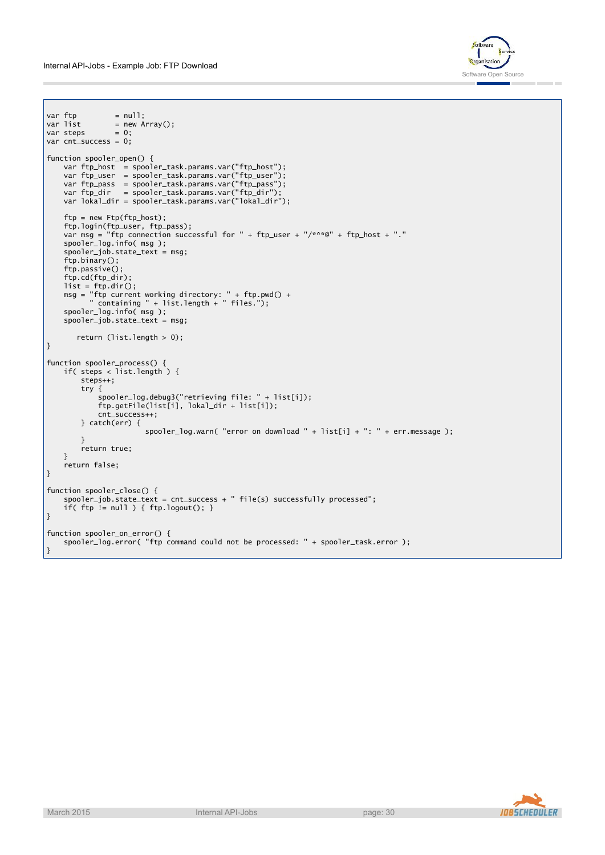

```
var ftp = null;
            = new Array();<br>= 0;
var steps
var cnt_success = 0;
function spooler_open() {
    var ftp_host = spooler_task.params.var("ftp_host");
    var ftp_user = spooler_task.params.var("ftp_user");
    var ftp_pass = spooler_task.params.var("ftp_pass");
    var ftp_dir = spooler_task.params.var("ftp_dir");
    var lokal_dir = spooler_task.params.var("lokal_dir");
    ftp = new Ftp(ftp_host);
    ftp.login(ftp_user, ftp_pass);
    var msg = "ftp connection successful for " + ftp_user + "/***@" + ftp_host + "."
    spooler_log.info( msg );
    spooler_job.state_text = msg;
    ftp.binary();
    ftp.passive();
    ftp.cd(ftp_dir);
   list = ftp.dir();msg = "ftp current working directory: " + ftp.pwd() +
          " containing " + list.length + " files.");
    spooler_log.info( msg );
    spooler_job.state_text = msg;
       return (list.length > 0);
}
function spooler_process() {
    if( steps < list.length ) {
        steps++;
        try {
            spooler_log.debug3("retrieving file: " + list[i]);
            ftp.getFile(list[i], lokal_dir + list[i]);
           cnt_success++;
       } catch(err) {
                       spooler_log.warn( "error on download " + list[i] + ": " + err.message );
        }
        return true;
   }
    return false;
}
function spooler close() {
   spooler_job.state_text = cnt_success + " file(s) successfully processed";
   if( ftp != null ) { ftp.logout(); }
}
function spooler_on_error() {
   spooler_log.error( "ftp command could not be processed: " + spooler_task.error );
```
}

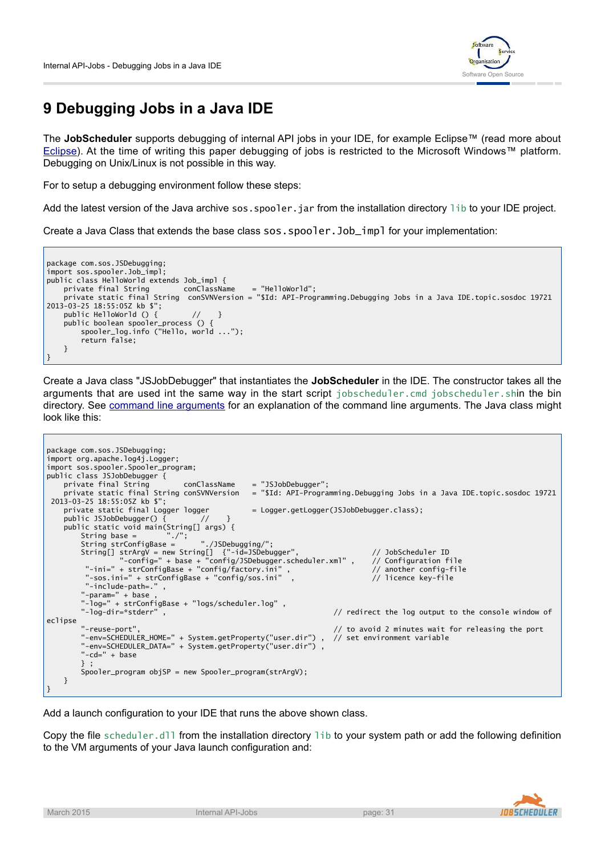

# **9 Debugging Jobs in a Java IDE**

The **JobScheduler** supports debugging of internal API jobs in your IDE, for example Eclipse™ (read more about [Eclipse\)](http://en.wikipedia.org/wiki/Eclipse_(IDE)). At the time of writing this paper debugging of jobs is restricted to the Microsoft Windows™ platform. Debugging on Unix/Linux is not possible in this way.

For to setup a debugging environment follow these steps:

Add the latest version of the Java archive sos. spooler. jar from the installation directory lib to your IDE project.

Create a Java Class that extends the base class sos. spooler. Job\_impl for your implementation:



Create a Java class "JSJobDebugger" that instantiates the **JobScheduler** in the IDE. The constructor takes all the arguments that are used int the same way in the start script jobscheduler.cmd jobscheduler.shin the bin directory. See [command line arguments](http://www.sos-berlin.com/doc/en/scheduler.doc/command_line.xml) for an explanation of the command line arguments. The Java class might look like this:

| package com.sos.JSDebugging;                                   |                                                                                      |
|----------------------------------------------------------------|--------------------------------------------------------------------------------------|
| import org.apache.log4j.Logger;                                |                                                                                      |
| import sos.spooler.Spooler_program;                            |                                                                                      |
| public class JSJobDebugger {                                   |                                                                                      |
| private final String conClassName                              | = "JSJobDebugger";                                                                   |
| private static final String conSVNVersion                      | = "\$Id: API-Programming.Debugging Jobs in a Java IDE.topic.sosdoc 19721             |
| 2013-03-25 18:55:05Z kb \$";                                   |                                                                                      |
| private static final Logger logger                             | = Logger.getLogger(JSJobDebugger.class);                                             |
| public JSJobDebugger() $\{$ // $\}$                            |                                                                                      |
| public static void main(String[] args) {                       |                                                                                      |
| String base = $"./$ ";                                         |                                                                                      |
| String strConfigBase = $\blacksquare$ ./JSDebugging/";         |                                                                                      |
| String[] strArgV = new String[] {"-id=JSDebugger",             | // JobScheduler ID                                                                   |
|                                                                | "-config=" + base + "config/JSDebugger.scheduler.xml", // Configuration file         |
| "-ini=" + strConfigBase + "config/factory.ini",                | $\frac{1}{2}$ another config-file                                                    |
| "-sos.ini=" + strConfigBase + "config/sos.ini",                | // licence key-file                                                                  |
| "-include-path=.",                                             |                                                                                      |
| "-param=" + base,                                              |                                                                                      |
| "- $\log$ -" + strConfigBase + " $\log$ s/scheduler. $\log$ ", |                                                                                      |
| "-log-dir=*stderr",                                            | // redirect the log output to the console window of                                  |
| eclipse                                                        |                                                                                      |
| "-reuse-port",                                                 | // to avoid 2 minutes wait for releasing the port                                    |
|                                                                | "-env=SCHEDULER_HOME=" + System.getProperty("user.dir"), // set environment variable |
| "-env=SCHEDULER_DATA=" + System.getProperty("user.dir").       |                                                                                      |
| " $-cd=$ " + base                                              |                                                                                      |
| $\}$ :                                                         |                                                                                      |
| $Spooler\_program$ obj $SP = new Spooler\_program(strArgV)$ ;  |                                                                                      |
|                                                                |                                                                                      |
| }                                                              |                                                                                      |

Add a launch configuration to your IDE that runs the above shown class.

Copy the file scheduler.dll from the installation directory lib to your system path or add the following definition to the VM arguments of your Java launch configuration and:

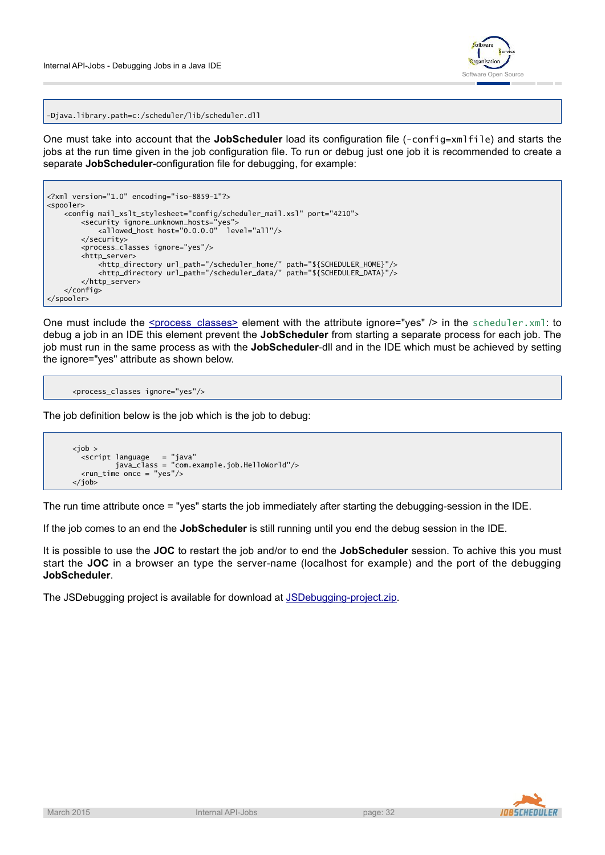

-Djava.library.path=c:/scheduler/lib/scheduler.dll

One must take into account that the **JobScheduler** load its configuration file (-config=xmlfile) and starts the jobs at the run time given in the job configuration file. To run or debug just one job it is recommended to create a separate **JobScheduler**-configuration file for debugging, for example:

```
<?xml version="1.0" encoding="iso-8859-1"?>
<spooler>
    <config mail_xslt_stylesheet="config/scheduler_mail.xsl" port="4210">
        <security ignore_unknown_hosts="yes">
            <allowed_host host="0.0.0.0" level="all"/>
        </security>
        <process_classes ignore="yes"/>
        <http_server>
            <http_directory url_path="/scheduler_home/" path="${SCHEDULER_HOME}"/>
            <http_directory url_path="/scheduler_data/" path="${SCHEDULER_DATA}"/>
        </http_server>
    </config>
</spooler>
```
One must include the <u>[<process\\_classes>](http://www.sos-berlin.com/doc/en/scheduler.doc/xml/process_classes.xml)</u> element with the attribute ignore="yes" /> in the scheduler.xml: to debug a job in an IDE this element prevent the **JobScheduler** from starting a separate process for each job. The job must run in the same process as with the **JobScheduler**-dll and in the IDE which must be achieved by setting the ignore="yes" attribute as shown below.

```
<process_classes ignore="yes"/>
```
The job definition below is the job which is the job to debug:

```

 <script language = "java"
         java_class = "com.example.job.HelloWorld"/>
 <run_time once = "yes"/>
</job>
```
The run time attribute once = "yes" starts the job immediately after starting the debugging-session in the IDE.

If the job comes to an end the **JobScheduler** is still running until you end the debug session in the IDE.

It is possible to use the **JOC** to restart the job and/or to end the **JobScheduler** session. To achive this you must start the **JOC** in a browser an type the server-name (localhost for example) and the port of the debugging **JobScheduler**.

The JSDebugging project is available for download at [JSDebugging-project.zip](http://www.sos-berlin.com/download/JSDebugging-project.zip).